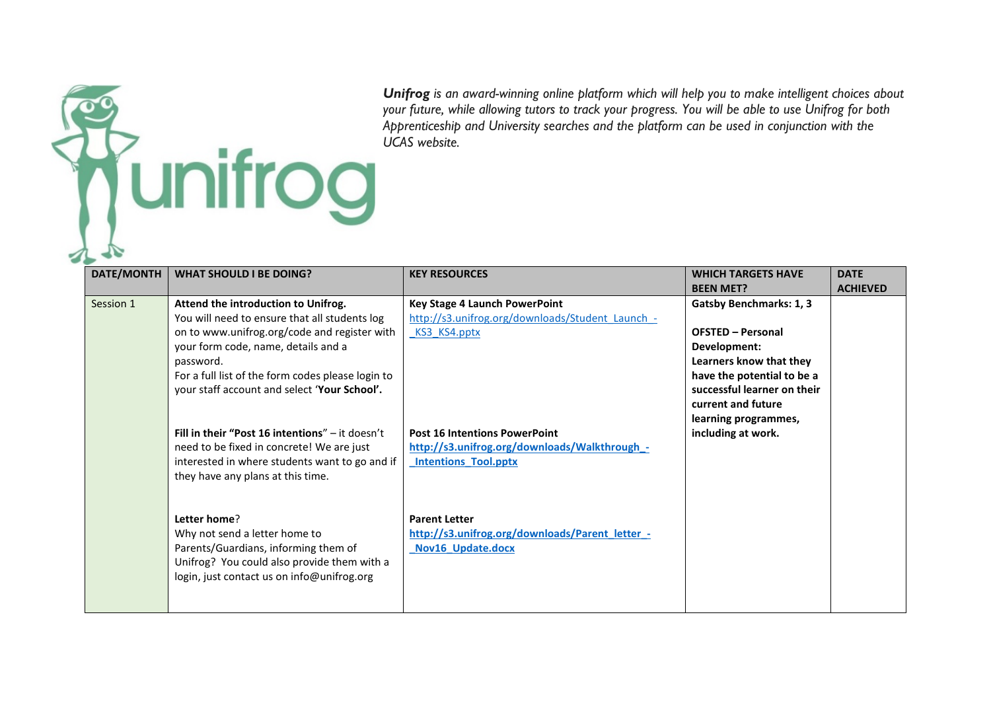*Unifrog is an award-winning online platform which will help you to make intelligent choices about your future, while allowing tutors to track your progress. You will be able to use Unifrog for both Apprenticeship and University searches and the platform can be used in conjunction with the UCAS website. <u>funifrog</u>* 

| DATE/MONTH | <b>WHAT SHOULD I BE DOING?</b>                                                                                                                                                                                                                                                                | <b>KEY RESOURCES</b>                                                                                                 | <b>WHICH TARGETS HAVE</b>                                                                                                                                                                                        | <b>DATE</b>     |
|------------|-----------------------------------------------------------------------------------------------------------------------------------------------------------------------------------------------------------------------------------------------------------------------------------------------|----------------------------------------------------------------------------------------------------------------------|------------------------------------------------------------------------------------------------------------------------------------------------------------------------------------------------------------------|-----------------|
|            |                                                                                                                                                                                                                                                                                               |                                                                                                                      | <b>BEEN MET?</b>                                                                                                                                                                                                 | <b>ACHIEVED</b> |
| Session 1  | Attend the introduction to Unifrog.<br>You will need to ensure that all students log<br>on to www.unifrog.org/code and register with<br>your form code, name, details and a<br>password.<br>For a full list of the form codes please login to<br>your staff account and select 'Your School'. | <b>Key Stage 4 Launch PowerPoint</b><br>http://s3.unifrog.org/downloads/Student Launch -<br>KS3 KS4.pptx             | <b>Gatsby Benchmarks: 1, 3</b><br><b>OFSTED - Personal</b><br>Development:<br>Learners know that they<br>have the potential to be a<br>successful learner on their<br>current and future<br>learning programmes, |                 |
|            | Fill in their "Post 16 intentions" $-$ it doesn't<br>need to be fixed in concrete! We are just<br>interested in where students want to go and if<br>they have any plans at this time.                                                                                                         | <b>Post 16 Intentions PowerPoint</b><br>http://s3.unifrog.org/downloads/Walkthrough_-<br><b>Intentions Tool.pptx</b> | including at work.                                                                                                                                                                                               |                 |
|            | Letter home?<br>Why not send a letter home to<br>Parents/Guardians, informing them of<br>Unifrog? You could also provide them with a<br>login, just contact us on info@unifrog.org                                                                                                            | <b>Parent Letter</b><br>http://s3.unifrog.org/downloads/Parent letter -<br>Nov16_Update.docx                         |                                                                                                                                                                                                                  |                 |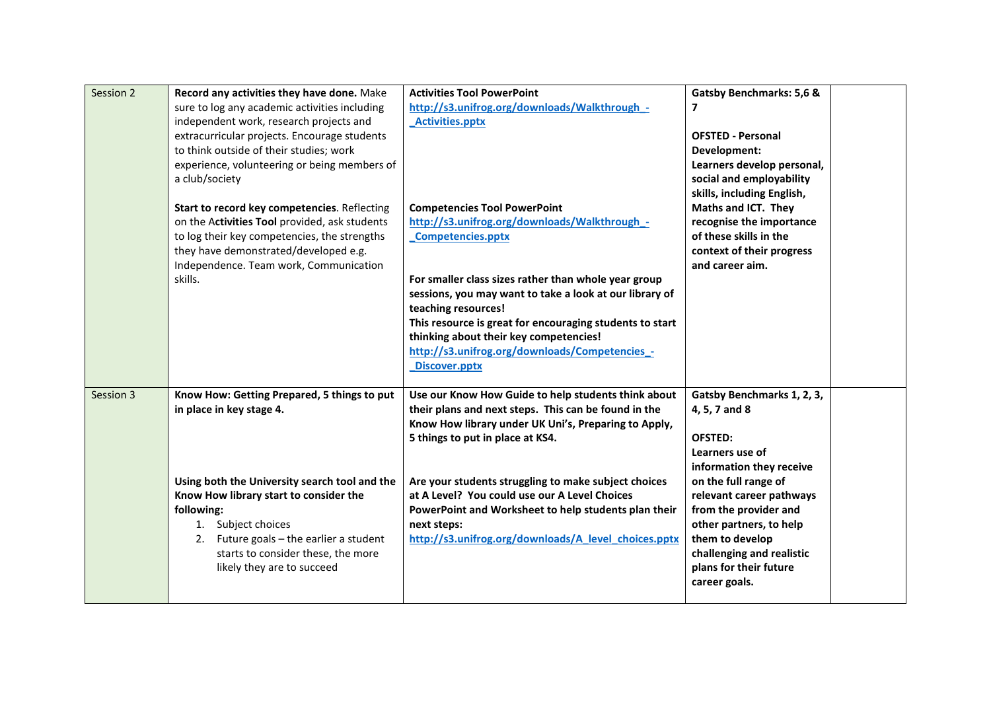| Session 2 | Record any activities they have done. Make<br>sure to log any academic activities including<br>independent work, research projects and<br>extracurricular projects. Encourage students<br>to think outside of their studies; work<br>experience, volunteering or being members of<br>a club/society | <b>Activities Tool PowerPoint</b><br>http://s3.unifrog.org/downloads/Walkthrough -<br><b>Activities.pptx</b>                                                                                                                                                                                                    | <b>Gatsby Benchmarks: 5,6 &amp;</b><br>$\overline{ }$<br><b>OFSTED - Personal</b><br>Development:<br>Learners develop personal,<br>social and employability                                     |
|-----------|-----------------------------------------------------------------------------------------------------------------------------------------------------------------------------------------------------------------------------------------------------------------------------------------------------|-----------------------------------------------------------------------------------------------------------------------------------------------------------------------------------------------------------------------------------------------------------------------------------------------------------------|-------------------------------------------------------------------------------------------------------------------------------------------------------------------------------------------------|
|           | Start to record key competencies. Reflecting<br>on the Activities Tool provided, ask students<br>to log their key competencies, the strengths<br>they have demonstrated/developed e.g.<br>Independence. Team work, Communication                                                                    | <b>Competencies Tool PowerPoint</b><br>http://s3.unifrog.org/downloads/Walkthrough_-<br><b>Competencies.pptx</b>                                                                                                                                                                                                | skills, including English,<br>Maths and ICT. They<br>recognise the importance<br>of these skills in the<br>context of their progress<br>and career aim.                                         |
|           | skills.                                                                                                                                                                                                                                                                                             | For smaller class sizes rather than whole year group<br>sessions, you may want to take a look at our library of<br>teaching resources!<br>This resource is great for encouraging students to start<br>thinking about their key competencies!<br>http://s3.unifrog.org/downloads/Competencies_-<br>Discover.pptx |                                                                                                                                                                                                 |
| Session 3 | Know How: Getting Prepared, 5 things to put<br>in place in key stage 4.                                                                                                                                                                                                                             | Use our Know How Guide to help students think about<br>their plans and next steps. This can be found in the<br>Know How library under UK Uni's, Preparing to Apply,<br>5 things to put in place at KS4.                                                                                                         | Gatsby Benchmarks 1, 2, 3,<br>4, 5, 7 and 8<br>OFSTED:<br>Learners use of<br>information they receive                                                                                           |
|           | Using both the University search tool and the<br>Know How library start to consider the<br>following:<br>1. Subject choices<br>2. Future goals $-$ the earlier a student<br>starts to consider these, the more<br>likely they are to succeed                                                        | Are your students struggling to make subject choices<br>at A Level? You could use our A Level Choices<br>PowerPoint and Worksheet to help students plan their<br>next steps:<br>http://s3.unifrog.org/downloads/A level choices.pptx                                                                            | on the full range of<br>relevant career pathways<br>from the provider and<br>other partners, to help<br>them to develop<br>challenging and realistic<br>plans for their future<br>career goals. |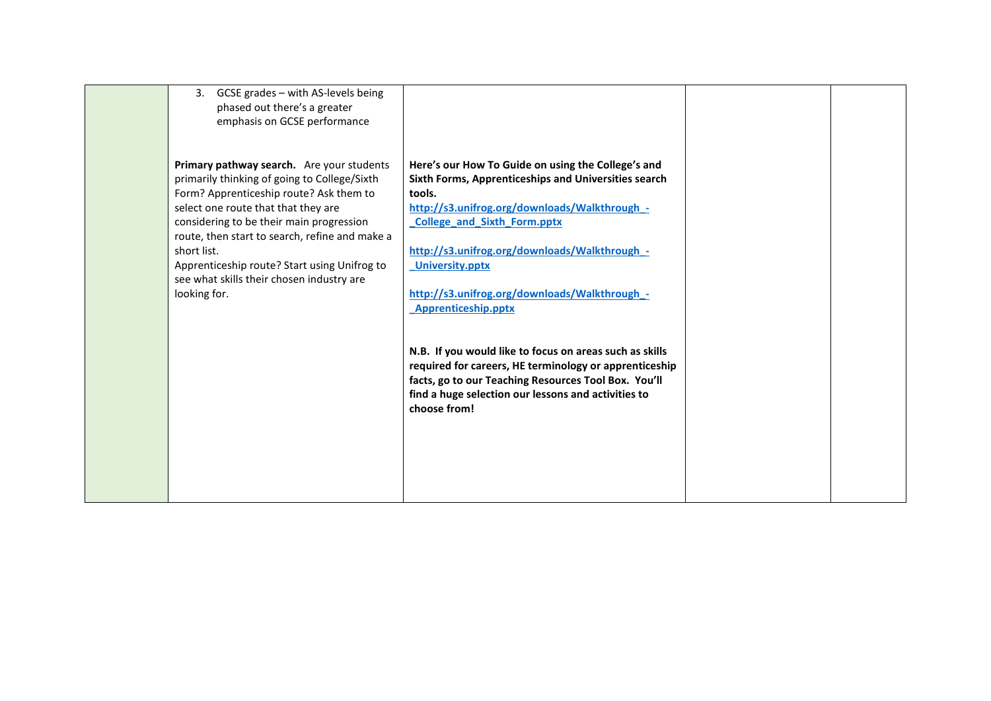| GCSE grades - with AS-levels being<br>3.<br>phased out there's a greater<br>emphasis on GCSE performance                                                                                                                                                                                                                                                                                              |                                                                                                                                                                                                                                                                                                                                                                       |  |
|-------------------------------------------------------------------------------------------------------------------------------------------------------------------------------------------------------------------------------------------------------------------------------------------------------------------------------------------------------------------------------------------------------|-----------------------------------------------------------------------------------------------------------------------------------------------------------------------------------------------------------------------------------------------------------------------------------------------------------------------------------------------------------------------|--|
| Primary pathway search. Are your students<br>primarily thinking of going to College/Sixth<br>Form? Apprenticeship route? Ask them to<br>select one route that that they are<br>considering to be their main progression<br>route, then start to search, refine and make a<br>short list.<br>Apprenticeship route? Start using Unifrog to<br>see what skills their chosen industry are<br>looking for. | Here's our How To Guide on using the College's and<br>Sixth Forms, Apprenticeships and Universities search<br>tools.<br>http://s3.unifrog.org/downloads/Walkthrough -<br><b>College and Sixth Form.pptx</b><br>http://s3.unifrog.org/downloads/Walkthrough -<br><b>University.pptx</b><br>http://s3.unifrog.org/downloads/Walkthrough -<br><b>Apprenticeship.pptx</b> |  |
|                                                                                                                                                                                                                                                                                                                                                                                                       | N.B. If you would like to focus on areas such as skills<br>required for careers, HE terminology or apprenticeship<br>facts, go to our Teaching Resources Tool Box. You'll<br>find a huge selection our lessons and activities to<br>choose from!                                                                                                                      |  |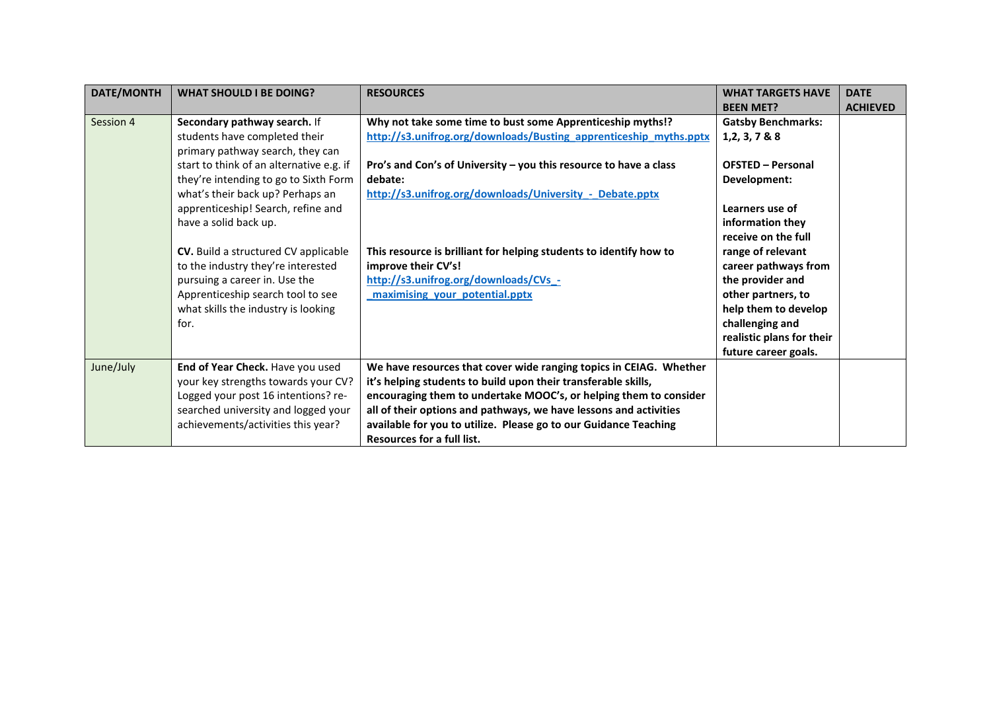| <b>DATE/MONTH</b> | <b>WHAT SHOULD I BE DOING?</b>           | <b>RESOURCES</b>                                                   | <b>WHAT TARGETS HAVE</b>  | <b>DATE</b>     |
|-------------------|------------------------------------------|--------------------------------------------------------------------|---------------------------|-----------------|
|                   |                                          |                                                                    | <b>BEEN MET?</b>          | <b>ACHIEVED</b> |
| Session 4         | Secondary pathway search. If             | Why not take some time to bust some Apprenticeship myths!?         | <b>Gatsby Benchmarks:</b> |                 |
|                   | students have completed their            | http://s3.unifrog.org/downloads/Busting_apprenticeship_myths.pptx  | 1, 2, 3, 7 & 8 & 8        |                 |
|                   | primary pathway search, they can         |                                                                    |                           |                 |
|                   | start to think of an alternative e.g. if | Pro's and Con's of University - you this resource to have a class  | <b>OFSTED - Personal</b>  |                 |
|                   | they're intending to go to Sixth Form    | debate:                                                            | Development:              |                 |
|                   | what's their back up? Perhaps an         | http://s3.unifrog.org/downloads/University - Debate.pptx           |                           |                 |
|                   | apprenticeship! Search, refine and       |                                                                    | Learners use of           |                 |
|                   | have a solid back up.                    |                                                                    | information they          |                 |
|                   |                                          |                                                                    | receive on the full       |                 |
|                   | CV. Build a structured CV applicable     | This resource is brilliant for helping students to identify how to | range of relevant         |                 |
|                   | to the industry they're interested       | improve their CV's!                                                | career pathways from      |                 |
|                   | pursuing a career in. Use the            | http://s3.unifrog.org/downloads/CVs_-                              | the provider and          |                 |
|                   | Apprenticeship search tool to see        | maximising your potential.pptx                                     | other partners, to        |                 |
|                   | what skills the industry is looking      |                                                                    | help them to develop      |                 |
|                   | for.                                     |                                                                    | challenging and           |                 |
|                   |                                          |                                                                    | realistic plans for their |                 |
|                   |                                          |                                                                    | future career goals.      |                 |
| June/July         | End of Year Check. Have you used         | We have resources that cover wide ranging topics in CEIAG. Whether |                           |                 |
|                   | your key strengths towards your CV?      | it's helping students to build upon their transferable skills,     |                           |                 |
|                   | Logged your post 16 intentions? re-      | encouraging them to undertake MOOC's, or helping them to consider  |                           |                 |
|                   | searched university and logged your      | all of their options and pathways, we have lessons and activities  |                           |                 |
|                   | achievements/activities this year?       | available for you to utilize. Please go to our Guidance Teaching   |                           |                 |
|                   |                                          | <b>Resources for a full list.</b>                                  |                           |                 |